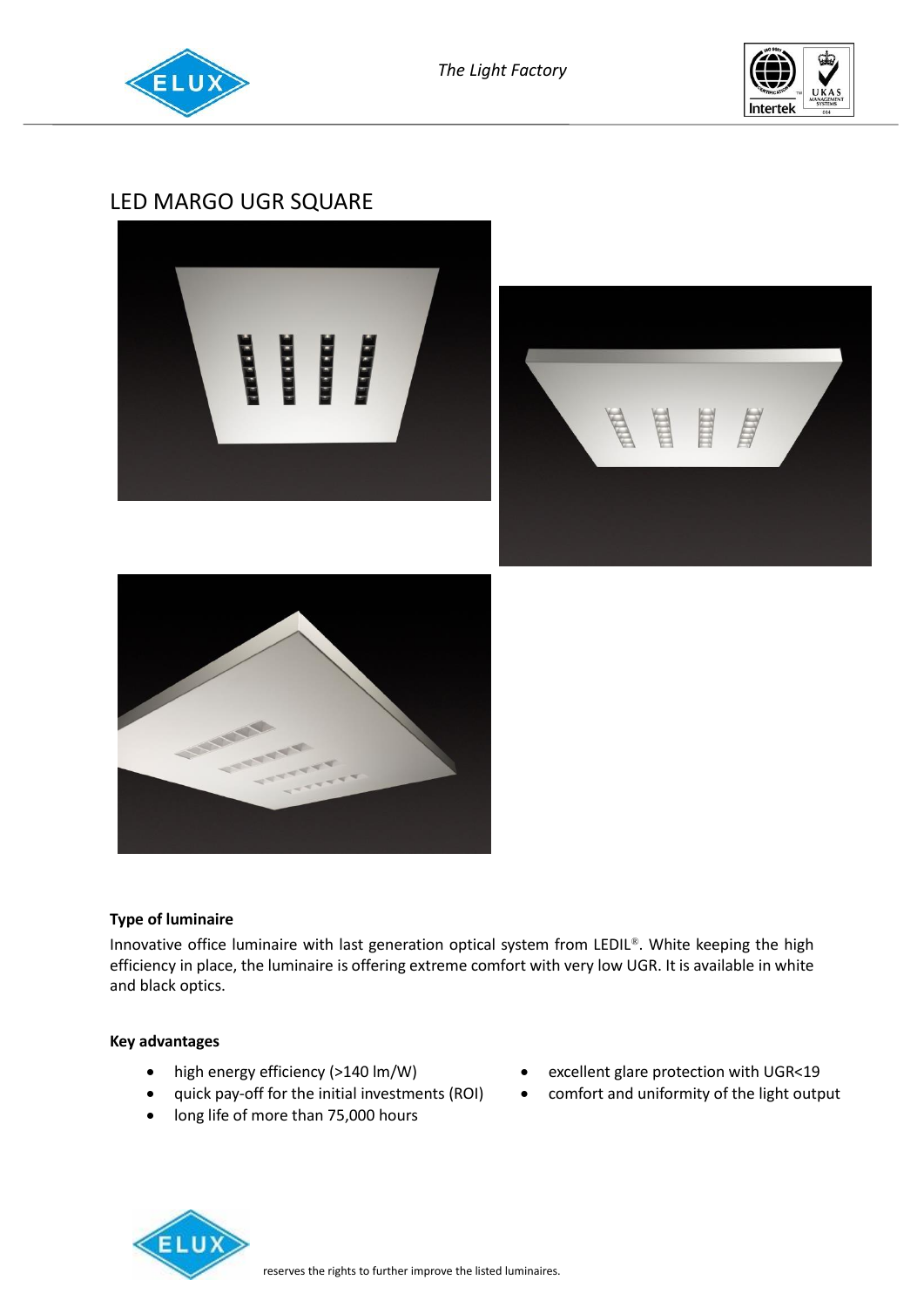



# LED MARGO UGR SQUARE







## **Type of luminaire**

Innovative office luminaire with last generation optical system from LEDIL®. White keeping the high efficiency in place, the luminaire is offering extreme comfort with very low UGR. It is available in white and black optics.

### **Key advantages**

- high energy efficiency (>140 lm/W)
- quick pay-off for the initial investments (ROI)
- long life of more than 75,000 hours
- excellent glare protection with UGR<19
- comfort and uniformity of the light output